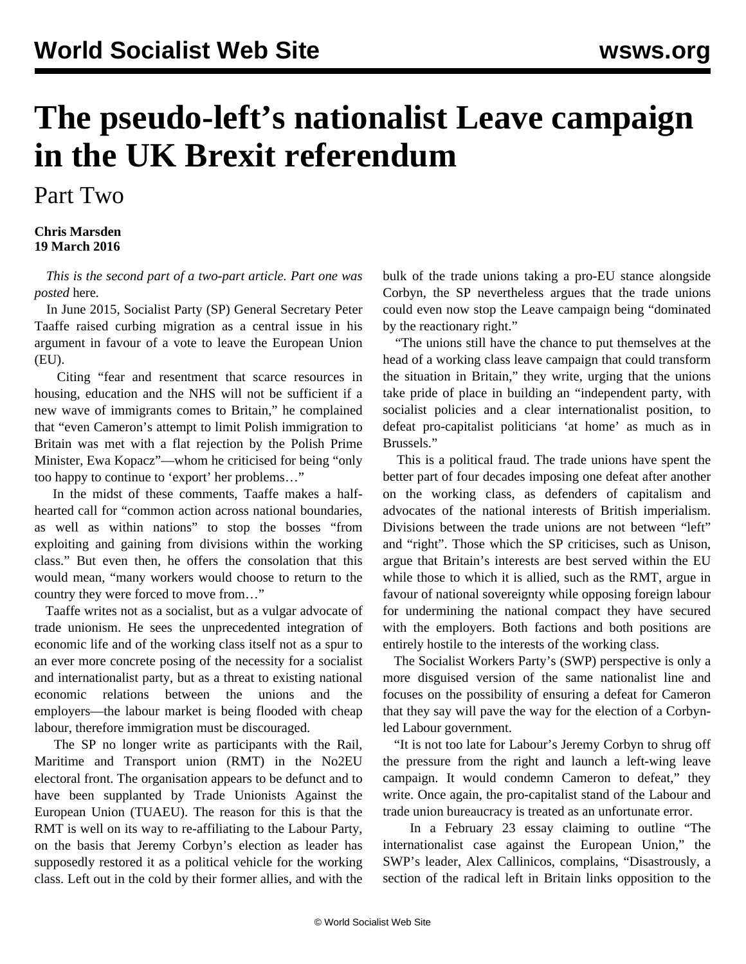## **The pseudo-left's nationalist Leave campaign in the UK Brexit referendum**

Part Two

## **Chris Marsden 19 March 2016**

 *This is the second part of a two-part article. Part one was posted* [here](/en/articles/2016/03/18/leav-m18.html)*.*

 In June 2015, Socialist Party (SP) General Secretary Peter Taaffe raised curbing migration as a central issue in his argument in favour of a vote to leave the European Union (EU).

 Citing "fear and resentment that scarce resources in housing, education and the NHS will not be sufficient if a new wave of immigrants comes to Britain," he complained that "even Cameron's attempt to limit Polish immigration to Britain was met with a flat rejection by the Polish Prime Minister, Ewa Kopacz"—whom he criticised for being "only too happy to continue to 'export' her problems…"

 In the midst of these comments, Taaffe makes a halfhearted call for "common action across national boundaries, as well as within nations" to stop the bosses "from exploiting and gaining from divisions within the working class." But even then, he offers the consolation that this would mean, "many workers would choose to return to the country they were forced to move from…"

 Taaffe writes not as a socialist, but as a vulgar advocate of trade unionism. He sees the unprecedented integration of economic life and of the working class itself not as a spur to an ever more concrete posing of the necessity for a socialist and internationalist party, but as a threat to existing national economic relations between the unions and the employers—the labour market is being flooded with cheap labour, therefore immigration must be discouraged.

 The SP no longer write as participants with the Rail, Maritime and Transport union (RMT) in the No2EU electoral front. The organisation appears to be defunct and to have been supplanted by Trade Unionists Against the European Union (TUAEU). The reason for this is that the RMT is well on its way to re-affiliating to the Labour Party, on the basis that Jeremy Corbyn's election as leader has supposedly restored it as a political vehicle for the working class. Left out in the cold by their former allies, and with the bulk of the trade unions taking a pro-EU stance alongside Corbyn, the SP nevertheless argues that the trade unions could even now stop the Leave campaign being "dominated by the reactionary right."

 "The unions still have the chance to put themselves at the head of a working class leave campaign that could transform the situation in Britain," they write, urging that the unions take pride of place in building an "independent party, with socialist policies and a clear internationalist position, to defeat pro-capitalist politicians 'at home' as much as in Brussels."

 This is a political fraud. The trade unions have spent the better part of four decades imposing one defeat after another on the working class, as defenders of capitalism and advocates of the national interests of British imperialism. Divisions between the trade unions are not between "left" and "right". Those which the SP criticises, such as Unison, argue that Britain's interests are best served within the EU while those to which it is allied, such as the RMT, argue in favour of national sovereignty while opposing foreign labour for undermining the national compact they have secured with the employers. Both factions and both positions are entirely hostile to the interests of the working class.

 The Socialist Workers Party's (SWP) perspective is only a more disguised version of the same nationalist line and focuses on the possibility of ensuring a defeat for Cameron that they say will pave the way for the election of a Corbynled Labour government.

 "It is not too late for Labour's Jeremy Corbyn to shrug off the pressure from the right and launch a left-wing leave campaign. It would condemn Cameron to defeat," they write. Once again, the pro-capitalist stand of the Labour and trade union bureaucracy is treated as an unfortunate error.

 In a February 23 essay claiming to outline "The internationalist case against the European Union," the SWP's leader, Alex Callinicos, complains, "Disastrously, a section of the radical left in Britain links opposition to the